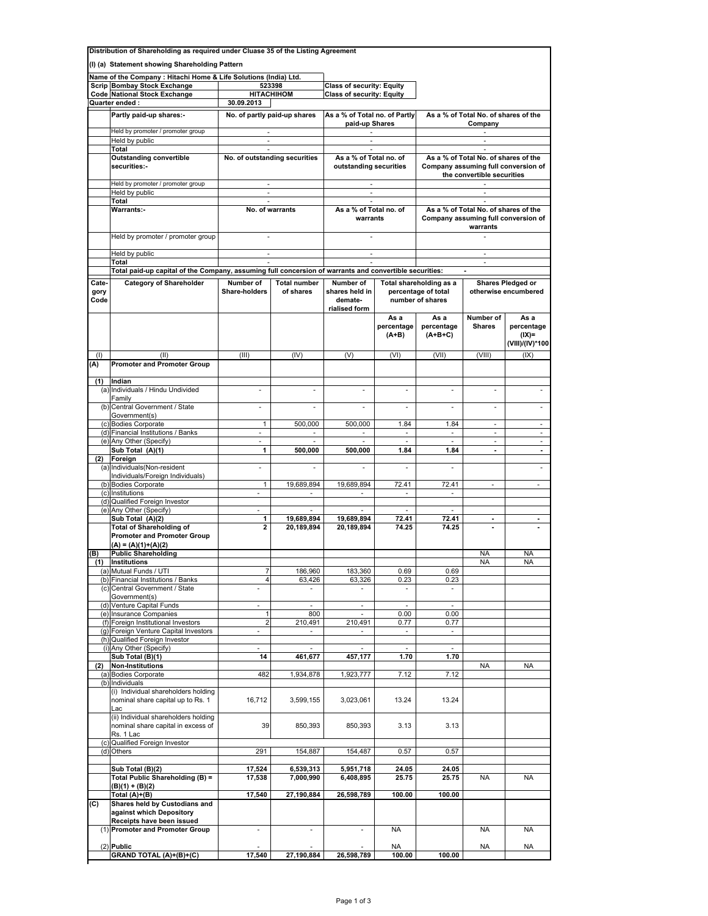|              | Distribution of Shareholding as required under Cluase 35 of the Listing Agreement                      |                                |                                     |                                            |                               |                                                                                         |                                      |                                                  |  |  |
|--------------|--------------------------------------------------------------------------------------------------------|--------------------------------|-------------------------------------|--------------------------------------------|-------------------------------|-----------------------------------------------------------------------------------------|--------------------------------------|--------------------------------------------------|--|--|
|              | (I) (a) Statement showing Shareholding Pattern                                                         |                                |                                     |                                            |                               |                                                                                         |                                      |                                                  |  |  |
|              | Name of the Company: Hitachi Home & Life Solutions (India) Ltd.                                        |                                |                                     |                                            |                               |                                                                                         |                                      |                                                  |  |  |
|              | Scrip Bombay Stock Exchange                                                                            |                                | 523398                              | <b>Class of security: Equity</b>           |                               |                                                                                         |                                      |                                                  |  |  |
|              | Code National Stock Exchange                                                                           | <b>HITACHIHOM</b>              |                                     | <b>Class of security: Equity</b>           |                               |                                                                                         |                                      |                                                  |  |  |
|              | Quarter ended :                                                                                        | 30.09.2013                     |                                     |                                            |                               |                                                                                         |                                      |                                                  |  |  |
|              | Partly paid-up shares:-                                                                                | No. of partly paid-up shares   |                                     | As a % of Total no. of Partly              |                               | As a % of Total No. of shares of the                                                    |                                      |                                                  |  |  |
|              | Held by promoter / promoter group                                                                      | $\overline{\phantom{a}}$       |                                     | paid-up Shares<br>$\overline{\phantom{a}}$ |                               | Company<br>$\overline{\phantom{a}}$                                                     |                                      |                                                  |  |  |
|              | Held by public                                                                                         | ÷.                             |                                     |                                            |                               |                                                                                         |                                      |                                                  |  |  |
|              | Total                                                                                                  | ×.                             |                                     |                                            |                               | ×.                                                                                      |                                      |                                                  |  |  |
|              | <b>Outstanding convertible</b>                                                                         | No. of outstanding securities  |                                     | As a % of Total no. of                     |                               |                                                                                         | As a % of Total No. of shares of the |                                                  |  |  |
|              | securities:-                                                                                           |                                |                                     | outstanding securities                     |                               | Company assuming full conversion of<br>the convertible securities                       |                                      |                                                  |  |  |
|              | Held by promoter / promoter group                                                                      | ×.                             |                                     | ×.                                         |                               | ÷.                                                                                      |                                      |                                                  |  |  |
|              | Held by public                                                                                         | ä,                             |                                     | ×.<br>×.                                   |                               | ×.                                                                                      |                                      |                                                  |  |  |
|              | Total<br><b>Warrants:-</b>                                                                             | No. of warrants                |                                     | As a % of Total no. of<br>warrants         |                               | As a % of Total No. of shares of the<br>Company assuming full conversion of<br>warrants |                                      |                                                  |  |  |
|              | Held by promoter / promoter group                                                                      |                                |                                     |                                            |                               |                                                                                         |                                      |                                                  |  |  |
|              | Held by public                                                                                         | ×.                             |                                     |                                            |                               | ÷.                                                                                      |                                      |                                                  |  |  |
|              | Total                                                                                                  |                                |                                     |                                            |                               | $\sim$                                                                                  |                                      |                                                  |  |  |
|              | Total paid-up capital of the Company, assuming full concersion of warrants and convertible securities: |                                |                                     |                                            |                               |                                                                                         |                                      |                                                  |  |  |
| Cate-        | <b>Category of Shareholder</b>                                                                         | Number of                      | <b>Total number</b>                 | Number of                                  |                               |                                                                                         |                                      | <b>Shares Pledged or</b>                         |  |  |
| gory<br>Code |                                                                                                        | Share-holders                  | of shares                           | shares held in<br>demate-<br>rialised form |                               | Total shareholding as a<br>percentage of total<br>number of shares                      |                                      | otherwise encumbered                             |  |  |
|              |                                                                                                        |                                |                                     |                                            | As a<br>percentage<br>$(A+B)$ | As a<br>percentage<br>$(A+B+C)$                                                         | Number of<br><b>Shares</b>           | As a<br>percentage<br>$(IX)=$<br>(VIII)/(IV)*100 |  |  |
| (1)          | (II)                                                                                                   | (III)                          | (IV)                                | (V)                                        | (VI)                          | (VII)                                                                                   | (VIII)                               | (IX)                                             |  |  |
| (A)          | <b>Promoter and Promoter Group</b>                                                                     |                                |                                     |                                            |                               |                                                                                         |                                      |                                                  |  |  |
|              |                                                                                                        |                                |                                     |                                            |                               |                                                                                         |                                      |                                                  |  |  |
| (1)          | Indian<br>(a) Individuals / Hindu Undivided                                                            | ä,                             |                                     |                                            |                               |                                                                                         |                                      |                                                  |  |  |
|              | Family<br>(b) Central Government / State                                                               | $\overline{\phantom{a}}$       | ä,                                  | ä,                                         |                               | ä,                                                                                      | ×.                                   | ä,                                               |  |  |
|              | Government(s)                                                                                          | $\mathbf{1}$                   |                                     |                                            | 1.84                          | 1.84                                                                                    | $\omega$                             | $\omega$                                         |  |  |
|              | (c) Bodies Corporate<br>(d) Financial Institutions / Banks                                             | $\overline{\phantom{a}}$       | 500,000<br>$\overline{\phantom{a}}$ | 500,000<br>$\sim$                          | $\overline{\phantom{a}}$      | $\sim$                                                                                  | ٠                                    | $\overline{\phantom{a}}$                         |  |  |
|              | (e) Any Other (Specify)                                                                                | $\mathcal{L}_{\mathcal{A}}$    | ×.                                  | ×.                                         | ×.                            | $\sim$                                                                                  | $\sim$                               | $\mathcal{L}_{\mathcal{A}}$                      |  |  |
|              | Sub Total (A)(1)                                                                                       | $\overline{1}$                 | 500,000                             | 500,000                                    | 1.84                          | 1.84                                                                                    | $\blacksquare$                       | $\blacksquare$                                   |  |  |
| (2)          | Foreign                                                                                                |                                |                                     |                                            |                               |                                                                                         |                                      |                                                  |  |  |
|              | (a) Individuals (Non-resident                                                                          | ä,                             |                                     |                                            |                               |                                                                                         |                                      |                                                  |  |  |
|              | Individuals/Foreign Individuals)                                                                       |                                |                                     |                                            |                               |                                                                                         |                                      |                                                  |  |  |
|              | (b) Bodies Corporate<br>(c) Institutions                                                               | $\mathbf{1}$<br>×.             | 19,689,894<br>$\sim$                | 19,689,894<br>$\sim$                       | 72.41<br>÷.                   | 72.41<br>$\sim$                                                                         | $\overline{\phantom{a}}$             | $\overline{\phantom{a}}$                         |  |  |
|              | (d) Qualified Foreign Investor                                                                         |                                |                                     |                                            |                               |                                                                                         |                                      |                                                  |  |  |
|              | (e) Any Other (Specify)                                                                                | $\overline{\phantom{a}}$       | $\sim$                              | $\sim$                                     | $\sim$                        | $\sim$                                                                                  |                                      |                                                  |  |  |
|              | Sub Total (A)(2)                                                                                       | 1                              | 19,689,894                          | 19,689,894                                 | 72.41                         | 72.41                                                                                   |                                      |                                                  |  |  |
|              | <b>Total of Shareholding of</b><br><b>Promoter and Promoter Group</b>                                  | $\overline{\mathbf{2}}$        | 20,189,894                          | 20,189,894                                 | 74.25                         | 74.25                                                                                   |                                      |                                                  |  |  |
|              | $(A) = (A)(1)+(A)(2)$                                                                                  |                                |                                     |                                            |                               |                                                                                         |                                      |                                                  |  |  |
| B)           | <b>Public Shareholding</b>                                                                             |                                |                                     |                                            |                               |                                                                                         | <b>NA</b>                            | <b>NA</b>                                        |  |  |
| (1)          | Institutions<br>(a) Mutual Funds / UTI                                                                 | $\overline{7}$                 | 186,960                             | 183,360                                    | 0.69                          | 0.69                                                                                    | NA                                   | NA                                               |  |  |
|              | (b) Financial Institutions / Banks                                                                     | $\overline{4}$                 | 63,426                              | 63,326                                     | 0.23                          | 0.23                                                                                    |                                      |                                                  |  |  |
|              | (c) Central Government / State                                                                         |                                |                                     |                                            |                               |                                                                                         |                                      |                                                  |  |  |
| (d)          | Government(s)<br>Venture Capital Funds                                                                 |                                |                                     | ×,                                         |                               |                                                                                         |                                      |                                                  |  |  |
|              | (e) Insurance Companies                                                                                | 1                              | 800                                 | ÷,                                         | 0.00                          | 0.00                                                                                    |                                      |                                                  |  |  |
|              | (f) Foreign Institutional Investors                                                                    | $\overline{2}$                 | 210,491                             | 210,491                                    | 0.77                          | 0.77                                                                                    |                                      |                                                  |  |  |
|              | (g) Foreign Venture Capital Investors                                                                  | ä,                             | $\overline{\phantom{a}}$            | ۰                                          | $\overline{\phantom{a}}$      | $\sim$                                                                                  |                                      |                                                  |  |  |
|              | (h) Qualified Foreign Investor                                                                         |                                |                                     |                                            |                               |                                                                                         |                                      |                                                  |  |  |
|              | (i) Any Other (Specify)<br>Sub Total (B)(1)                                                            | $\overline{\phantom{m}}$<br>14 |                                     | ÷,                                         | $\overline{\phantom{a}}$      | $\sim$                                                                                  |                                      |                                                  |  |  |
| (2)          | <b>Non-Institutions</b>                                                                                |                                | 461,677                             | 457,177                                    | 1.70                          | 1.70                                                                                    | NA                                   | NA                                               |  |  |
|              | (a) Bodies Corporate                                                                                   | 482                            | 1,934,878                           | 1,923,777                                  | 7.12                          | 7.12                                                                                    |                                      |                                                  |  |  |
|              | (b) Individuals                                                                                        |                                |                                     |                                            |                               |                                                                                         |                                      |                                                  |  |  |
|              | (i) Individual shareholders holding<br>nominal share capital up to Rs. 1                               | 16,712                         | 3,599,155                           | 3,023,061                                  | 13.24                         | 13.24                                                                                   |                                      |                                                  |  |  |
|              | Lac<br>(ii) Individual shareholders holding                                                            |                                |                                     |                                            |                               |                                                                                         |                                      |                                                  |  |  |
|              | nominal share capital in excess of<br>Rs. 1 Lac                                                        | 39                             | 850,393                             | 850,393                                    | 3.13                          | 3.13                                                                                    |                                      |                                                  |  |  |
|              | (c) Qualified Foreign Investor                                                                         |                                |                                     |                                            |                               |                                                                                         |                                      |                                                  |  |  |
|              | (d) Others                                                                                             | 291                            | 154,887                             | 154,487                                    | 0.57                          | 0.57                                                                                    |                                      |                                                  |  |  |
|              | Sub Total (B)(2)                                                                                       | 17,524                         | 6,539,313                           | 5,951,718                                  | 24.05                         | 24.05                                                                                   |                                      |                                                  |  |  |
|              | Total Public Shareholding (B) =                                                                        | 17,538                         | 7,000,990                           | 6,408,895                                  | 25.75                         | 25.75                                                                                   | <b>NA</b>                            | NA                                               |  |  |
|              | (B)(1) + (B)(2)                                                                                        |                                |                                     |                                            |                               |                                                                                         |                                      |                                                  |  |  |
|              | Total (A)+(B)                                                                                          | 17,540                         | 27,190,884                          | 26,598,789                                 | 100.00                        | 100.00                                                                                  |                                      |                                                  |  |  |
| (C)          | Shares held by Custodians and<br>against which Depository                                              |                                |                                     |                                            |                               |                                                                                         |                                      |                                                  |  |  |
|              | Receipts have been issued<br>(1) Promoter and Promoter Group                                           | ä,                             | ×,                                  | $\overline{\phantom{a}}$                   | <b>NA</b>                     |                                                                                         | <b>NA</b>                            | NA                                               |  |  |
|              |                                                                                                        |                                |                                     |                                            |                               |                                                                                         |                                      |                                                  |  |  |
|              | $(2)$ Public                                                                                           |                                |                                     |                                            | <b>NA</b>                     |                                                                                         | <b>NA</b>                            | NA                                               |  |  |
|              | <b>GRAND TOTAL (A)+(B)+(C)</b>                                                                         | 17,540                         | 27,190,884                          | 26,598,789                                 | 100.00                        | 100.00                                                                                  |                                      |                                                  |  |  |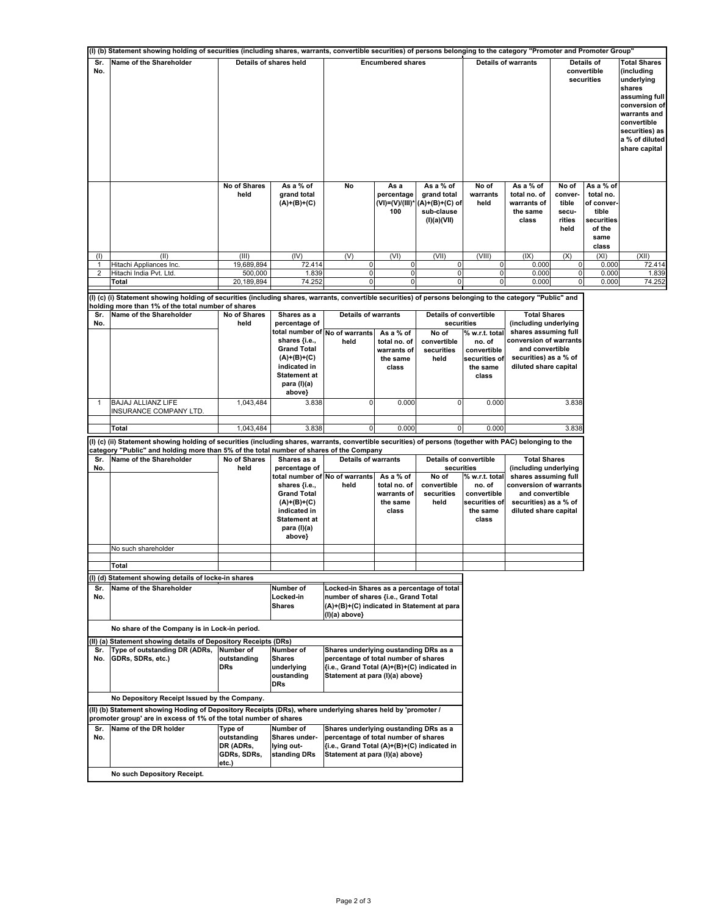|                       | (I) (b) Statement showing holding of securities (including shares, warrants, convertible securities) of persons belonging to the category "Promoter and Promoter Group"                                          |                                                                                                                     |                                           |                                                             |                                                   |                                                                         |                            |                                                               |                                                      |                                                                                        |                                                                                                                                                                |
|-----------------------|------------------------------------------------------------------------------------------------------------------------------------------------------------------------------------------------------------------|---------------------------------------------------------------------------------------------------------------------|-------------------------------------------|-------------------------------------------------------------|---------------------------------------------------|-------------------------------------------------------------------------|----------------------------|---------------------------------------------------------------|------------------------------------------------------|----------------------------------------------------------------------------------------|----------------------------------------------------------------------------------------------------------------------------------------------------------------|
| Sr.<br>No.            | Name of the Shareholder                                                                                                                                                                                          |                                                                                                                     | Details of shares held                    |                                                             | <b>Encumbered shares</b>                          |                                                                         | <b>Details of warrants</b> |                                                               |                                                      | Details of<br>convertible<br>securities                                                | <b>Total Shares</b><br>(including<br>underlying<br>shares<br>assuming full<br>conversion of<br>warrants and<br>convertible<br>securities) as<br>a % of diluted |
|                       |                                                                                                                                                                                                                  |                                                                                                                     |                                           |                                                             |                                                   |                                                                         |                            |                                                               |                                                      | share capital                                                                          |                                                                                                                                                                |
|                       |                                                                                                                                                                                                                  | No of Shares<br>held                                                                                                | As a % of<br>grand total<br>$(A)+(B)+(C)$ | No                                                          | As a<br>percentage<br>$(VI) = (V)/(III)^*$<br>100 | As a % of<br>grand total<br>(A)+(B)+(C) of<br>sub-clause<br>(I)(a)(VII) | No of<br>warrants<br>held  | As a % of<br>total no. of<br>warrants of<br>the same<br>class | No of<br>conver-<br>tible<br>secu-<br>rities<br>held | As a % of<br>total no.<br>of conver-<br>tible<br>securities<br>of the<br>same<br>class |                                                                                                                                                                |
| (1)                   | (II)                                                                                                                                                                                                             | (III)                                                                                                               | (IV)                                      | (V)                                                         | (VI)                                              | (VII)                                                                   | (VIII)                     | (IX)                                                          | (X)                                                  | (XI)                                                                                   | (XII)                                                                                                                                                          |
| 1<br>$\boldsymbol{2}$ | Hitachi Appliances Inc.<br>Hitachi India Pvt. Ltd.                                                                                                                                                               | 19,689,894<br>500,000                                                                                               | 72.414<br>1.839                           | 0<br>$\pmb{0}$                                              | $\pmb{0}$<br>$\pmb{0}$                            | 0<br>$\pmb{0}$                                                          | 0<br>$\mathbf 0$           | 0.000<br>0.000                                                | 0<br>$\pmb{0}$                                       | 0.000<br>0.000                                                                         | 72.414<br>1.839                                                                                                                                                |
|                       | Total                                                                                                                                                                                                            | 20,189,894                                                                                                          | 74.252                                    | 0                                                           | 0                                                 | 0                                                                       | 0                          | 0.000                                                         | $\pmb{0}$                                            | 0.000                                                                                  | 74.252                                                                                                                                                         |
|                       |                                                                                                                                                                                                                  |                                                                                                                     |                                           |                                                             |                                                   |                                                                         |                            |                                                               |                                                      |                                                                                        |                                                                                                                                                                |
|                       | (I) (c) (i) Statement showing holding of securities (including shares, warrants, convertible securities) of persons belonging to the category "Public" and<br>holding more than 1% of the total number of shares |                                                                                                                     |                                           |                                                             |                                                   |                                                                         |                            |                                                               |                                                      |                                                                                        |                                                                                                                                                                |
| Sr.                   | Name of the Shareholder                                                                                                                                                                                          | No of Shares                                                                                                        | Shares as a                               | <b>Details of warrants</b>                                  |                                                   | <b>Details of convertible</b>                                           |                            | <b>Total Shares</b>                                           |                                                      |                                                                                        |                                                                                                                                                                |
| No.                   |                                                                                                                                                                                                                  | held                                                                                                                | percentage of                             | total number of No of warrants                              | As a % of                                         | securities<br>No of                                                     | % w.r.t. total             | (including underlying<br>shares assuming full                 |                                                      |                                                                                        |                                                                                                                                                                |
|                       |                                                                                                                                                                                                                  |                                                                                                                     | shares {i.e.,                             | held                                                        | total no. of                                      | convertible                                                             | no. of                     | conversion of warrants                                        |                                                      |                                                                                        |                                                                                                                                                                |
|                       |                                                                                                                                                                                                                  |                                                                                                                     | <b>Grand Total</b>                        |                                                             | warrants of                                       | securities                                                              | convertible                | and convertible                                               |                                                      |                                                                                        |                                                                                                                                                                |
|                       |                                                                                                                                                                                                                  |                                                                                                                     | $(A)+(B)+(C)$<br>indicated in             |                                                             | the same<br>class                                 | held                                                                    | securities of<br>the same  | securities) as a % of<br>diluted share capital                |                                                      |                                                                                        |                                                                                                                                                                |
|                       |                                                                                                                                                                                                                  |                                                                                                                     | Statement at                              |                                                             |                                                   |                                                                         | class                      |                                                               |                                                      |                                                                                        |                                                                                                                                                                |
|                       |                                                                                                                                                                                                                  |                                                                                                                     | para (I)(a)                               |                                                             |                                                   |                                                                         |                            |                                                               |                                                      |                                                                                        |                                                                                                                                                                |
|                       |                                                                                                                                                                                                                  |                                                                                                                     | above}                                    |                                                             |                                                   |                                                                         |                            |                                                               |                                                      |                                                                                        |                                                                                                                                                                |
| 1                     | BAJAJ ALLIANZ LIFE<br>INSURANCE COMPANY LTD.                                                                                                                                                                     | 1,043,484                                                                                                           | 3.838                                     | 0                                                           | 0.000                                             | $\Omega$                                                                | 0.000                      |                                                               | 3.838                                                |                                                                                        |                                                                                                                                                                |
|                       | <b>Total</b>                                                                                                                                                                                                     | 1,043,484                                                                                                           | 3.838                                     | $\mathbf 0$                                                 | 0.000                                             | $\overline{0}$                                                          | 0.000                      |                                                               | 3.838                                                |                                                                                        |                                                                                                                                                                |
|                       | (I) (c) (ii) Statement showing holding of securities (including shares, warrants, convertible securities) of persons (together with PAC) belonging to the                                                        |                                                                                                                     |                                           |                                                             |                                                   |                                                                         |                            |                                                               |                                                      |                                                                                        |                                                                                                                                                                |
|                       | category "Public" and holding more than 5% of the total number of shares of the Company                                                                                                                          |                                                                                                                     |                                           |                                                             |                                                   |                                                                         |                            |                                                               |                                                      |                                                                                        |                                                                                                                                                                |
| Sr.<br>No.            | Name of the Shareholder                                                                                                                                                                                          | No of Shares<br><b>Details of warrants</b><br><b>Details of convertible</b><br>Shares as a<br>held<br>percentage of |                                           | securities                                                  | <b>Total Shares</b><br>(including underlying      |                                                                         |                            |                                                               |                                                      |                                                                                        |                                                                                                                                                                |
|                       |                                                                                                                                                                                                                  |                                                                                                                     | total number of                           | No of warrants                                              | As a % of                                         | No of                                                                   | % w.r.t. total             | shares assuming full                                          |                                                      |                                                                                        |                                                                                                                                                                |
|                       |                                                                                                                                                                                                                  |                                                                                                                     | shares {i.e.,                             | held                                                        | total no. of                                      | convertible                                                             | no. of                     | conversion of warrants                                        |                                                      |                                                                                        |                                                                                                                                                                |
|                       |                                                                                                                                                                                                                  |                                                                                                                     | <b>Grand Total</b>                        |                                                             | warrants of                                       | securities                                                              | convertible                | and convertible                                               |                                                      |                                                                                        |                                                                                                                                                                |
|                       |                                                                                                                                                                                                                  |                                                                                                                     | $(A)+(B)+(C)$<br>indicated in             |                                                             | the same<br>class                                 | held                                                                    | securities of<br>the same  | securities) as a % of<br>diluted share capital                |                                                      |                                                                                        |                                                                                                                                                                |
|                       |                                                                                                                                                                                                                  |                                                                                                                     | <b>Statement at</b>                       |                                                             |                                                   |                                                                         | class                      |                                                               |                                                      |                                                                                        |                                                                                                                                                                |
|                       |                                                                                                                                                                                                                  |                                                                                                                     | para (I)(a)                               |                                                             |                                                   |                                                                         |                            |                                                               |                                                      |                                                                                        |                                                                                                                                                                |
|                       |                                                                                                                                                                                                                  |                                                                                                                     | above}                                    |                                                             |                                                   |                                                                         |                            |                                                               |                                                      |                                                                                        |                                                                                                                                                                |
|                       | No such shareholder                                                                                                                                                                                              |                                                                                                                     |                                           |                                                             |                                                   |                                                                         |                            |                                                               |                                                      |                                                                                        |                                                                                                                                                                |
|                       | Total                                                                                                                                                                                                            |                                                                                                                     |                                           |                                                             |                                                   |                                                                         |                            |                                                               |                                                      |                                                                                        |                                                                                                                                                                |
|                       | (I) (d) Statement showing details of locke-in shares                                                                                                                                                             |                                                                                                                     |                                           |                                                             |                                                   |                                                                         |                            |                                                               |                                                      |                                                                                        |                                                                                                                                                                |
| Sr.                   | Name of the Shareholder                                                                                                                                                                                          |                                                                                                                     | Number of                                 | Locked-in Shares as a percentage of total                   |                                                   |                                                                         |                            |                                                               |                                                      |                                                                                        |                                                                                                                                                                |
| No.                   |                                                                                                                                                                                                                  |                                                                                                                     | Locked-in                                 | number of shares {i.e., Grand Total                         |                                                   |                                                                         |                            |                                                               |                                                      |                                                                                        |                                                                                                                                                                |
|                       |                                                                                                                                                                                                                  |                                                                                                                     | <b>Shares</b>                             | (A)+(B)+(C) indicated in Statement at para<br>(I)(a) above} |                                                   |                                                                         |                            |                                                               |                                                      |                                                                                        |                                                                                                                                                                |
|                       |                                                                                                                                                                                                                  |                                                                                                                     |                                           |                                                             |                                                   |                                                                         |                            |                                                               |                                                      |                                                                                        |                                                                                                                                                                |
|                       | No share of the Company is in Lock-in period.                                                                                                                                                                    |                                                                                                                     |                                           |                                                             |                                                   |                                                                         |                            |                                                               |                                                      |                                                                                        |                                                                                                                                                                |
| Sr.                   | (II) (a) Statement showing details of Depository Receipts (DRs)<br>Type of outstanding DR (ADRs,                                                                                                                 | Number of                                                                                                           | Number of                                 | Shares underlying oustanding DRs as a                       |                                                   |                                                                         |                            |                                                               |                                                      |                                                                                        |                                                                                                                                                                |
| No.                   | GDRs, SDRs, etc.)                                                                                                                                                                                                | outstanding                                                                                                         | <b>Shares</b>                             | percentage of total number of shares                        |                                                   |                                                                         |                            |                                                               |                                                      |                                                                                        |                                                                                                                                                                |
|                       |                                                                                                                                                                                                                  | <b>DRs</b>                                                                                                          | underlying                                | {i.e., Grand Total (A)+(B)+(C) indicated in                 |                                                   |                                                                         |                            |                                                               |                                                      |                                                                                        |                                                                                                                                                                |
|                       |                                                                                                                                                                                                                  |                                                                                                                     | oustanding<br><b>DRs</b>                  | Statement at para (I)(a) above}                             |                                                   |                                                                         |                            |                                                               |                                                      |                                                                                        |                                                                                                                                                                |
|                       |                                                                                                                                                                                                                  |                                                                                                                     |                                           |                                                             |                                                   |                                                                         |                            |                                                               |                                                      |                                                                                        |                                                                                                                                                                |
|                       | No Depository Receipt Issued by the Company.                                                                                                                                                                     |                                                                                                                     |                                           |                                                             |                                                   |                                                                         |                            |                                                               |                                                      |                                                                                        |                                                                                                                                                                |
|                       | (II) (b) Statement showing Hoding of Depository Receipts (DRs), where underlying shares held by 'promoter /                                                                                                      |                                                                                                                     |                                           |                                                             |                                                   |                                                                         |                            |                                                               |                                                      |                                                                                        |                                                                                                                                                                |
| Sr.                   | promoter group' are in excess of 1% of the total number of shares<br>Name of the DR holder                                                                                                                       | Type of                                                                                                             | Number of                                 | Shares underlying oustanding DRs as a                       |                                                   |                                                                         |                            |                                                               |                                                      |                                                                                        |                                                                                                                                                                |
| No.                   |                                                                                                                                                                                                                  | outstanding                                                                                                         | Shares under-                             | percentage of total number of shares                        |                                                   |                                                                         |                            |                                                               |                                                      |                                                                                        |                                                                                                                                                                |
|                       |                                                                                                                                                                                                                  | DR (ADRs,                                                                                                           | lying out-                                | {i.e., Grand Total (A)+(B)+(C) indicated in                 |                                                   |                                                                         |                            |                                                               |                                                      |                                                                                        |                                                                                                                                                                |
|                       |                                                                                                                                                                                                                  | GDRs, SDRs,                                                                                                         | standing DRs                              | Statement at para (I)(a) above}                             |                                                   |                                                                         |                            |                                                               |                                                      |                                                                                        |                                                                                                                                                                |
|                       |                                                                                                                                                                                                                  | etc.)                                                                                                               |                                           |                                                             |                                                   |                                                                         |                            |                                                               |                                                      |                                                                                        |                                                                                                                                                                |
|                       | No such Depository Receipt.                                                                                                                                                                                      |                                                                                                                     |                                           |                                                             |                                                   |                                                                         |                            |                                                               |                                                      |                                                                                        |                                                                                                                                                                |